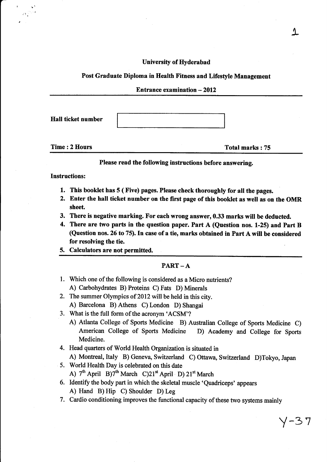University of Hyderabad

## Post Graduate Diploma in Health Fitness and Lifestyle Management

| <b>Entrance examination <math>-2012</math></b> |  |
|------------------------------------------------|--|
|                                                |  |

Hall ticket number

'i

Time: 2 Hours Total marks : 75

Please read the following instructions before answering.

Instructions:

- 1. This booklet has 5 ( Five) pages. Please check thoroughly for all the pages.
- 2. Enter the hall ticket number on the first page of this booklet as well as on the OMR sheet.
- 3. There is negative marking. For each wrong answer, 0.33 marks will be deducted.
- 4. There are two parts in the question paper. Part A (Question nos. 1-25) and Part B (Question nos. 26 to 75). In case of a tie, marks obtained in Part A will be considered for resolving the tie.
- 5. Calculators are not permitted.

## $PART - A$

- Which one of the following is considered as a Micro nutrients? l. A) Carbohydrates B) Proteins C) Fats D) Minerals
- 2. The summer Olympics of 2012 will be held in this city. A) Barcelona B) Athens C) London D) Shangai
- 3. What is the full form of the acronym 'ACSM'?
	- A) Atlanta College of Sports Medicine B) Australian College of Sports Medicine C) American College of Sports Medicine D) Academy and College for Sports Medicine.
- 4. Head quarters of World Health Organization is situated in

A) Montreal, Italy B) Geneva, Switzerland C) Ottawa, Switzerland D)Tokyo, Japan

5. World Health Day is celebrated on this date A)  $7<sup>th</sup>$  April B) $7<sup>th</sup>$  March C) $21<sup>st</sup>$  April D)  $21<sup>st</sup>$  March

6. Identify the body part in which the skeletal muscle 'Quadriceps' appears A) Hand B) Hip C) Shoulder D) Leg

7. Cardio conditioning improves the functional capacity of these two systems mainly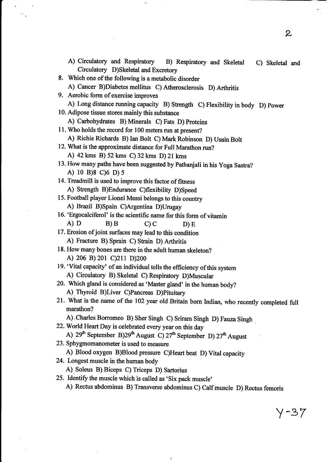A) Circulatory and Respiratory B) Respiratory and Skeletal C) Skeletal and Circulatory D)Skeletal and Excretory 8. Which one of the following is a metabolic disorder A) cancer B)Diabetes mellitus c) Atherosclerosis D) Arthritis 9. Aerobic form of exercise improves A) Long distance running capacity B) Strength C) Flexibility in body D) power 10. Adipose tissue stores mainly this substance A) Carbohydrates B) Minerals C) Fats D) Proteins 11. Who holds the record for 100 meters run at present? A) Richie Richards B) Ian Bolt C) Mark Robinson D) Usain Bolt 12. What is the approximate distance for Full Marathon run? A) 42kms B) 52kms C)32kms D)21 kms 13. How many paths have been suggested by pathanjali in his yoga sastra? A) 10 B)8 c)6 D) <sup>5</sup> 14. Treadmill is used to improve this factor of fitness A) Strength B)Endurance C)flexibiliry D)Speed 15. Football player Lionel Messi belongs to this country A) Brazil B)Spain C)Argentina D)Urugay 16. 'Ergocalciferol' is the scientific name for this form of vitamin A) D B) B C) C D) E 17. Erosion of joint surfaces may lead to this condition A) Fracture B). Sprain C) Strain D) Arthritis 18. How many bones are there in the adult human skeleton? A) 206 B) 201 C)211 D)200 19. 'vital capacity'of an individual tells the efficiency of this system A) Circulatory B) Skeletal C) Respiratory D)Musculm 20. Which gland is considered as 'Master gland' in the human body? A).Thyroid B)Liver C)Pancreas D)Pituitary 21. What is the name of the 102 year old Britain born Indian, who recently completed full marathon? A)'charles Borromeo B) sher singh c) sriram singh D) Fauza Singh 22. World Heart Day is celebrated every year on this day A)  $29<sup>th</sup>$  September B) $29<sup>th</sup>$  August C)  $27<sup>th</sup>$  September D)  $27<sup>th</sup>$  August 23. Sphygmomanometer is used to measure A) Blood oxygen B)Blood pressure C)Heart beat D) Vital capacity 24. Longest muscle in the human body A). Soleus B) Biceps C) Triceps D) Sartorius 25. Identify the muscle which is called as 'Six pack muscle' A) Rectus abdominus B) Transverse abdominus C) Calf muscle D) Rectus femoris

z

 $Y - 37$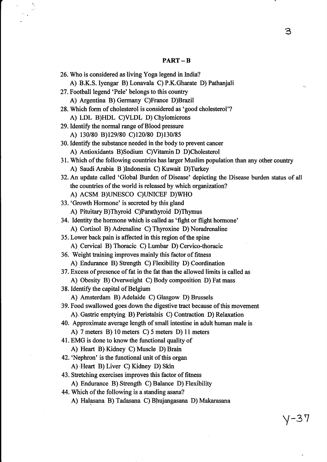## PART-B

26. Who is considered as living Yoga legend in India? A) B.K.S.Iyengar B) Lonavala C) P.K.Gharate D) Pathanjali 2T.Football legend 'Pele' belongs to this country A) Argentina B)Germany C)France D)Brazil 28. Which form of cholesterol is considered as 'good cholesterol'? A) LDL B)HDL C)VLDL D) Chylomicrons 29. Identify the normal range of Blood pressure A) 130/80 B)129/80 C)120/80 D)130/85 30. Identify the substance needed in the body to prevent cancer A) Antioxidants B)Sodium C)Vitamin D D)Cholesterol 31. Which of the following countries has larger Muslim population than any other country A) Saudi Arabia B )Indonesia C) Kuwait D)Turkey 32. An update called 'Global Burden of Disease' depicting the Disease burden status of all the countries of the world is released by which organization? A) ACSM B)UNESCO C)UNICEF D)WHO 33. 'Growth Hormone' is secreted by this gland A) Pituitary B)Thyroid C)Parathyroid D)Thymus 34. Identity the hormone which is called as 'fight or flight hormone' A) Cortisol B) Adrenaline C) Thyroxine D) Noradrenaline 35. Lower back pain is affected in this region of the spine A).Cervical B) Thoracic C) Lumbar D) Cervico-thoracic 36. Weight training improves mainly this factor of fitness A).Endurance B) Strength C) Flexibility D) Coordination 37. Excess of presence of fat in the fat than the allowed limits is called as A) Obesity B) Overweight C) Body composition D) Fat mass 38. Identify the capital of Belgium .A) Amsterdam B) Adelaide C) Glasgow D) Brussels 39. Food swallowed goes down the digestive tract because of this movement A).Gastric emptying B) Peristalsis C) Contaction D) Relaxation 40. Approximate average length of small intestine in adult human male is A) 7 meters B) l0 meters C) 5 meters D) 11 meters 41. EMG is done to knowthe functional quality of A) Heart B) Kidney C) Muscle D) Brain 42. 'Nephron' is the functional unit of this organ A) Heart B) Liver C) Kidney D) Skin 43. Stretching exercises improves this factor of fitness A) Endurance B) Strength C) Balance D) Flexibility 44. Which of the following is a standing asana? A) Halasana B) Tadasana C) Blrujangasana D) Makarasana

Y-3 Y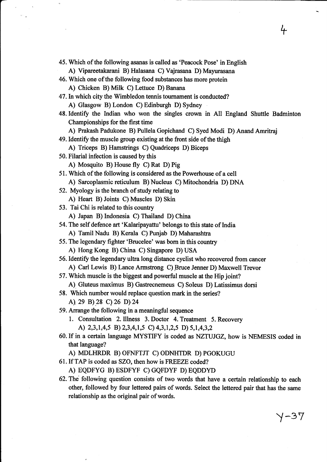45. Which of the following asanas is called as 'Peacock Pose' in English

A) Vipareetakarani B) Halasana C) Vajrasana D) Mayurasana

- 46. Which one of the following food substances has more protein A) Chicken B) Milk C) Lettuce D) Banana
- 47.In which city the Wimbledon tennis toumament is conducted? A) Glasgow B) London C) Edinburgh D) Sydney
- 48. Identify the Indian who won the singles crown in All England Shuttle Badminton Championships for the first time
	- A) Prakash Padukone B) Pullela Gopichand C) Syed Modi D) Anand Amritraj

49. Identify the muscle group existing at the front side of the thigh

A) Triceps B) Hamstrings C) Quadriceps D) Biceps

- 50. Filarial infection is caused by this
	- A) Mosquito B) House fly C) Rat D) Pig
- 51. Which of the following is considered as the Powerhouse of a cell A) Sarcoplasmic reticulum B) Nucleus C) Mitochondria D) DNA
- 52. Myology is the branch of study relating to
	- A) Heart B) Joints C) Muscles D) Skin
- 53. Tai Chi is related to this country
	- A) Japan B) Indonesia C) Thailand D) China
- 54. The self defence art 'Kalaripayattu'belongs to this state of India
	- A) Tamil Nadu B) Kerala C) Punjab D) Maharashtra
- 55. The legendary fighter'Brucelee' was born in this country A) Hong Kong B) China C) Singapore D) USA

56. Identify the legendary ultra long distance cyclist who recovered from cancer A) Carl Lewis B) Lance Armstrong C) Bruce Jenner D) Maxwell Trevor

57. Which muscle is the biggest and powerful muscle at the Hip joint?

A), Gluteus maximus B) Gastrecnemeus C) Soleus D) Latissimus dorsi

58. Which number would replace question mark in the series?

A).ze B).28 C)26 D).24

- 59. Arrange the following in a meaningful sequence
	- 1. Consultation 2.Illness 3. Doctor 4. Treatment 5. Recovery A)  $2,3,1,4,5$  B)  $2,3,4,1,5$  C)  $4,3,1,2,5$  D)  $5,1,4,3,2$
- 60. If in a certain language MYSTIFY is coded as NZTUJGZ, how is NEMESIS coded in that language?

A) MDLHRDR B) OFNFTJT C) ODNHTDR D) PGOKUGU

- 61.If TAP is coded as SZO, then how is FREEZE coded?
	- A) EQDFYG B)ESDFYF C)GQFDYF D)EQDDYD
- 62. The following question consists of two words that have a certain relationship to each other, followed by four lettered pairs of words. Select the lettered pair that has the same relationship as the original pair of words.

Y-37

+